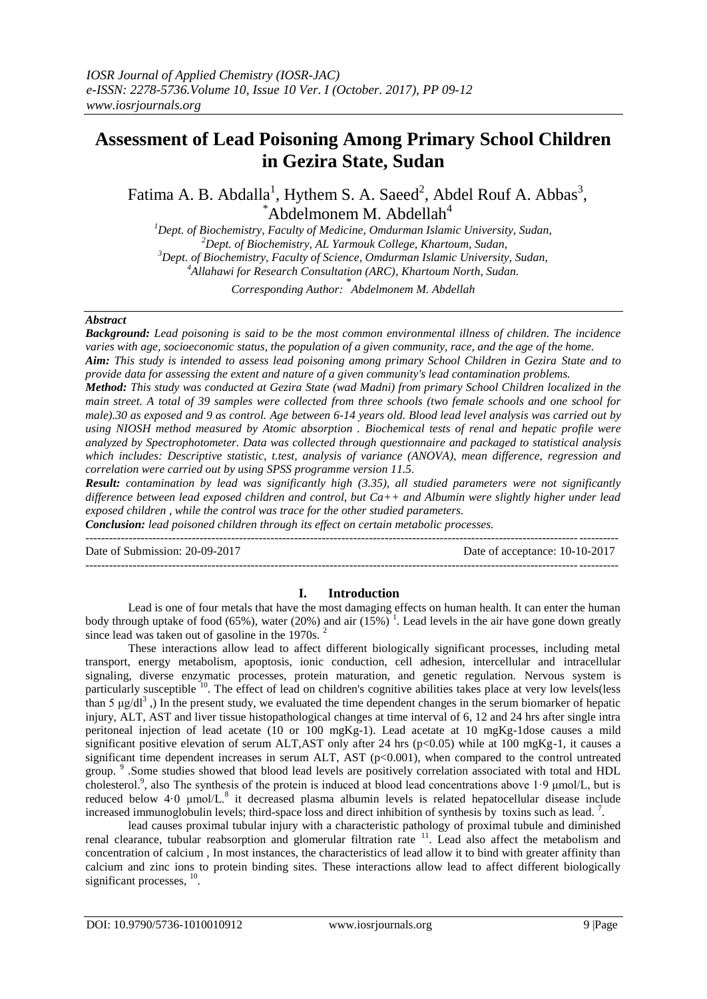# **Assessment of Lead Poisoning Among Primary School Children in Gezira State, Sudan**

Fatima A. B. Abdalla<sup>1</sup>, Hythem S. A. Saeed<sup>2</sup>, Abdel Rouf A. Abbas<sup>3</sup>,  $A$ bdelmonem M. Abdellah $A$ 

*Dept. of Biochemistry, Faculty of Medicine, Omdurman Islamic University, Sudan, Dept. of Biochemistry, AL Yarmouk College, Khartoum, Sudan, Dept. of Biochemistry, Faculty of Science, Omdurman Islamic University, Sudan, Allahawi for Research Consultation (ARC), Khartoum North, Sudan.*

*Corresponding Author:* \* *Abdelmonem M. Abdellah*

#### *Abstract*

*Background: Lead poisoning is said to be the most common environmental illness of children. The incidence varies with age, socioeconomic status, the population of a given community, race, and the age of the home.*

*Aim: This study is intended to assess lead poisoning among primary School Children in Gezira State and to provide data for assessing the extent and nature of a given community's lead contamination problems.* 

*Method: This study was conducted at Gezira State (wad Madni) from primary School Children localized in the main street. A total of 39 samples were collected from three schools (two female schools and one school for male).30 as exposed and 9 as control. Age between 6-14 years old. Blood lead level analysis was carried out by using NIOSH method measured by Atomic absorption . Biochemical tests of renal and hepatic profile were analyzed by Spectrophotometer. Data was collected through questionnaire and packaged to statistical analysis which includes: Descriptive statistic, t.test, analysis of variance (ANOVA), mean difference, regression and correlation were carried out by using SPSS programme version 11.5.*

*Result: contamination by lead was significantly high (3.35), all studied parameters were not significantly difference between lead exposed children and control, but Ca++ and Albumin were slightly higher under lead exposed children , while the control was trace for the other studied parameters.*

*Conclusion: lead poisoned children through its effect on certain metabolic processes.* ---------------------------------------------------------------------------------------------------------------------------------------

Date of Submission: 20-09-2017 Date of acceptance: 10-10-2017

# ---------------------------------------------------------------------------------------------------------------------------------------

#### **I. Introduction**

Lead is one of four metals that have the most damaging effects on human health. It can enter the human body through uptake of food (65%), [water](http://www.lenntech.com/water-FAQ.htm) (20%) and air (15%)<sup>1</sup>. Lead levels in the air have gone down greatly since lead was taken out of gasoline in the 1970s.<sup>2</sup>

These interactions allow lead to affect different biologically significant processes, including metal transport, energy metabolism, apoptosis, ionic conduction, cell adhesion, intercellular and intracellular signaling, diverse enzymatic processes, protein maturation, and genetic regulation. Nervous system is particularly susceptible <sup>10</sup>. The effect of lead on children's cognitive abilities takes place at very low levels(less than 5 μg/dl<sup>3</sup>, In the present study, we evaluated the time dependent changes in the serum biomarker of hepatic injury, ALT, AST and liver tissue histopathological changes at time interval of 6, 12 and 24 hrs after single intra peritoneal injection of lead acetate (10 or 100 mgKg-1). Lead acetate at 10 mgKg-1dose causes a mild significant positive elevation of serum ALT,AST only after 24 hrs ( $p<0.05$ ) while at 100 mgKg-1, it causes a significant time dependent increases in serum ALT, AST (p<0.001), when compared to the control untreated group. <sup>9</sup> .Some studies showed that blood lead levels are positively correlation associated with total and HDL cholesterol.<sup>9</sup> , also The synthesis of the protein is induced at blood lead concentrations above 1·9 μmol/L, but is reduced below 4.0 μmol/L.<sup>8</sup> it decreased plasma albumin levels is related hepatocellular disease include increased immunoglobulin levels; third-space loss and direct inhibition of synthesis by toxins such as lead.<sup>7</sup>.

lead causes proximal tubular injury with a characteristic pathology of proximal tubule and diminished renal clearance, tubular reabsorption and glomerular filtration rate <sup>11</sup>. Lead also affect the metabolism and concentration of calcium , In most instances, the characteristics of lead allow it to bind with greater affinity than calcium and zinc ions to protein binding sites. These interactions allow lead to affect different biologically significant processes,  $10$ .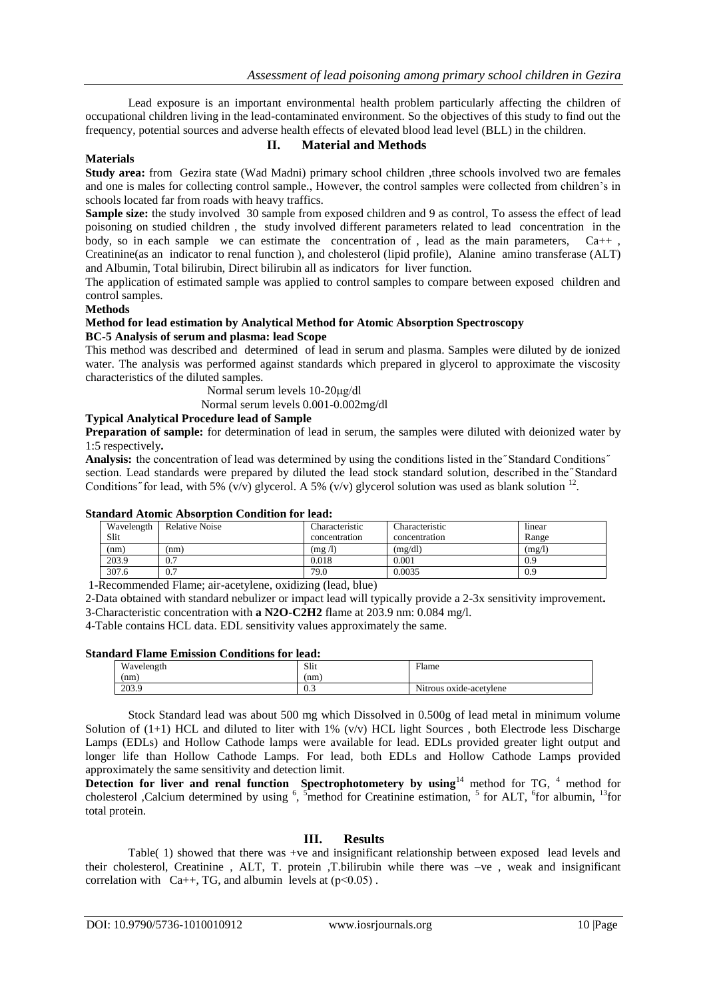Lead exposure is an important environmental health problem particularly affecting the children of occupational children living in the lead-contaminated environment. So the objectives of this study to find out the frequency, potential sources and adverse health effects of elevated blood lead level (BLL) in the children.

#### **Materials**

### **II. Material and Methods**

**Study area:** from Gezira state (Wad Madni) primary school children ,three schools involved two are females and one is males for collecting control sample., However, the control samples were collected from children's in schools located far from roads with heavy traffics.

**Sample size:** the study involved 30 sample from exposed children and 9 as control, To assess the effect of lead poisoning on studied children , the study involved different parameters related to lead concentration in the body, so in each sample we can estimate the concentration of, lead as the main parameters,  $Ca++$ , Creatinine(as an indicator to renal function ), and cholesterol (lipid profile), Alanine amino transferase (ALT) and Albumin, Total bilirubin, Direct bilirubin all as indicators for liver function.

The application of estimated sample was applied to control samples to compare between exposed children and control samples.

#### **Methods**

#### **Method for lead estimation by Analytical Method for Atomic Absorption Spectroscopy BC-5 Analysis of serum and plasma: lead Scope**

This method was described and determined of lead in serum and plasma. Samples were diluted by de ionized water. The analysis was performed against standards which prepared in glycerol to approximate the viscosity characteristics of the diluted samples.

Normal serum levels 10-20μg/dl

Normal serum levels 0.001-0.002mg/dl

# **Typical Analytical Procedure lead of Sample**

**Preparation of sample:** for determination of lead in serum, the samples were diluted with deionized water by 1:5 respectively**.**

**Analysis:** the concentration of lead was determined by using the conditions listed in the "Standard Conditions" section. Lead standards were prepared by diluted the lead stock standard solution, described in the Standard Conditions" for lead, with 5%  $(v/v)$  glycerol. A 5%  $(v/v)$  glycerol solution was used as blank solution <sup>12</sup>.

#### **Standard Atomic Absorption Condition for lead:**

| Wavelength<br>Slit | <b>Relative Noise</b> | Characteristic<br>concentration | Characteristic<br>concentration | linear<br>Range |
|--------------------|-----------------------|---------------------------------|---------------------------------|-----------------|
| (nm)               | (nm)                  | (mg /l)                         | (mg/dl)                         | (mg/l)          |
| 203.9              | 0.7                   | 0.018                           | 0.001                           | 0.9             |
| 307.6              | 0.7                   | 79.0                            | 0.0035                          | 0.9             |

1-Recommended Flame; air-acetylene, oxidizing (lead, blue)

2-Data obtained with standard nebulizer or impact lead will typically provide a 2-3x sensitivity improvement**.** 3-Characteristic concentration with **a N2O-C2H2** flame at 203.9 nm: 0.084 mg/l.

4-Table contains HCL data. EDL sensitivity values approximately the same.

#### **Standard Flame Emission Conditions for lead:**

| uuru ruunt miinsnon conunons ior itaal |                         |  |  |  |  |  |
|----------------------------------------|-------------------------|--|--|--|--|--|
| Slit                                   | Flame                   |  |  |  |  |  |
| nm                                     |                         |  |  |  |  |  |
| v.                                     | Nitrous oxide-acetylene |  |  |  |  |  |
|                                        |                         |  |  |  |  |  |

Stock Standard lead was about 500 mg which Dissolved in 0.500g of lead metal in minimum volume Solution of  $(1+1)$  HCL and diluted to liter with 1%  $(v/v)$  HCL light Sources, both Electrode less Discharge Lamps (EDLs) and Hollow Cathode lamps were available for lead. EDLs provided greater light output and longer life than Hollow Cathode Lamps. For lead, both EDLs and Hollow Cathode Lamps provided approximately the same sensitivity and detection limit.

Detection for liver and renal function Spectrophotometery by using<sup>14</sup> method for TG, <sup>4</sup> method for cholesterol ,Calcium determined by using  $\frac{6}{5}$ ,  $\frac{5}{5}$ method for Creatinine estimation,  $\frac{5}{5}$  for ALT,  $\frac{6}{5}$ for albumin,  $\frac{13}{5}$ for total protein.

#### **III. Results**

Table( 1) showed that there was +ve and insignificant relationship between exposed lead levels and their cholesterol, Creatinine , ALT, T. protein ,T.bilirubin while there was –ve , weak and insignificant correlation with  $Ca++$ , TG, and albumin levels at  $(p<0.05)$ .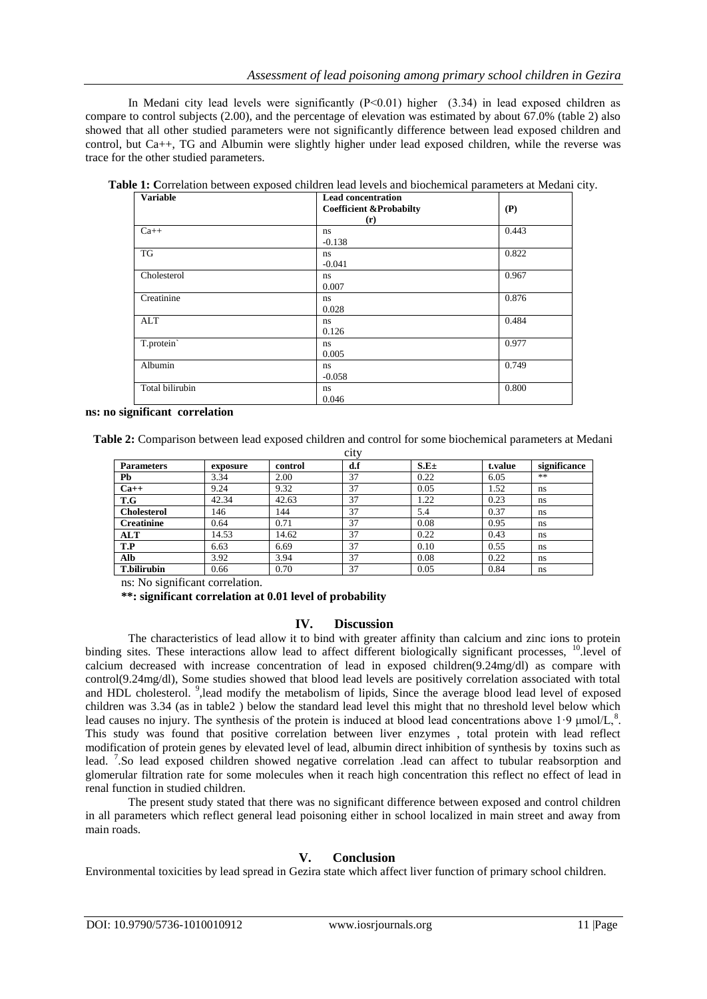In Medani city lead levels were significantly  $(P<0.01)$  higher  $(3.34)$  in lead exposed children as compare to control subjects (2.00), and the percentage of elevation was estimated by about 67.0% (table 2) also showed that all other studied parameters were not significantly difference between lead exposed children and control, but Ca++, TG and Albumin were slightly higher under lead exposed children, while the reverse was trace for the other studied parameters.

| <b>Variable</b> | <b>Lead concentration</b><br><b>Coefficient &amp;Probabilty</b> | (P)   |  |
|-----------------|-----------------------------------------------------------------|-------|--|
|                 | (r)                                                             |       |  |
| $Ca++$          | ns<br>$-0.138$                                                  | 0.443 |  |
| <b>TG</b>       | ns.<br>$-0.041$                                                 | 0.822 |  |
| Cholesterol     | ns<br>0.007                                                     | 0.967 |  |
| Creatinine      | ns<br>0.028                                                     | 0.876 |  |
| <b>ALT</b>      | ns<br>0.126                                                     | 0.484 |  |
| T.protein       | ns<br>0.005                                                     | 0.977 |  |
| Albumin         | ns<br>$-0.058$                                                  | 0.749 |  |
| Total bilirubin | ns<br>0.046                                                     | 0.800 |  |

**Table 1: C**orrelation between exposed children lead levels and biochemical parameters at Medani city.

#### **ns: no significant correlation**

**Table 2:** Comparison between lead exposed children and control for some biochemical parameters at Medani  $\ddot{\alpha}$ 

| <b>UILY</b>        |          |         |     |                  |         |              |  |  |  |
|--------------------|----------|---------|-----|------------------|---------|--------------|--|--|--|
| <b>Parameters</b>  | exposure | control | d.f | S.E <sub>±</sub> | t.value | significance |  |  |  |
| Pb                 | 3.34     | 2.00    | 37  | 0.22             | 6.05    | **           |  |  |  |
| $Ca++$             | 9.24     | 9.32    | 37  | 0.05             | 1.52    | ns           |  |  |  |
| T.G                | 42.34    | 42.63   | 37  | 1.22             | 0.23    | ns           |  |  |  |
| <b>Cholesterol</b> | 146      | 144     | 37  | 5.4              | 0.37    | ns           |  |  |  |
| <b>Creatinine</b>  | 0.64     | 0.71    | 37  | 0.08             | 0.95    | ns           |  |  |  |
| <b>ALT</b>         | 14.53    | 14.62   | 37  | 0.22             | 0.43    | ns           |  |  |  |
| T.P                | 6.63     | 6.69    | 37  | 0.10             | 0.55    | ns           |  |  |  |
| Alb                | 3.92     | 3.94    | 37  | 0.08             | 0.22    | ns           |  |  |  |
| <b>T.bilirubin</b> | 0.66     | 0.70    | 37  | 0.05             | 0.84    | ns           |  |  |  |

ns: No significant correlation.

 **\*\*: significant correlation at 0.01 level of probability** 

## **IV. Discussion**

The characteristics of lead allow it to bind with greater affinity than calcium and zinc ions to protein binding sites. These interactions allow lead to affect different biologically significant processes, <sup>10</sup> level of calcium decreased with increase concentration of lead in exposed children(9.24mg/dl) as compare with control(9.24mg/dl), Some studies showed that blood lead levels are positively correlation associated with total and HDL cholesterol. <sup>9</sup>, lead modify the metabolism of lipids, Since the average blood lead level of exposed children was 3.34 (as in table2 ) below the standard lead level this might that no threshold level below which lead causes no injury. The synthesis of the protein is induced at blood lead concentrations above 1.9  $\mu$ mol/L,  $\delta$ . This study was found that positive correlation between liver enzymes , total protein with lead reflect modification of protein genes by elevated level of lead, albumin direct inhibition of synthesis by toxins such as lead. <sup>7</sup>. So lead exposed children showed negative correlation lead can affect to tubular reabsorption and glomerular filtration rate for some molecules when it reach high concentration this reflect no effect of lead in renal function in studied children.

The present study stated that there was no significant difference between exposed and control children in all parameters which reflect general lead poisoning either in school localized in main street and away from main roads.

### **V. Conclusion**

Environmental toxicities by lead spread in Gezira state which affect liver function of primary school children.